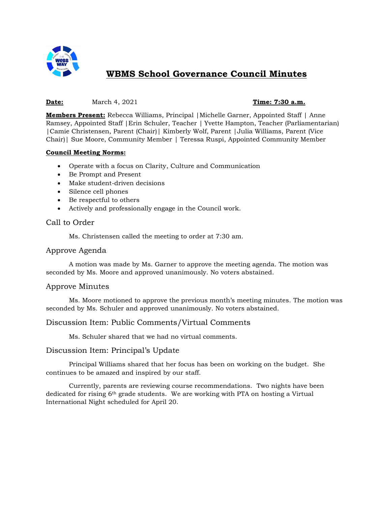

# **WBMS School Governance Council Minutes**

#### **Date:** March 4, 2021 **Time: 7:30 a.m.**

**Members Present:** Rebecca Williams, Principal |Michelle Garner, Appointed Staff | Anne Ramsey, Appointed Staff |Erin Schuler, Teacher | Yvette Hampton, Teacher (Parliamentarian) |Camie Christensen, Parent (Chair)| Kimberly Wolf, Parent |Julia Williams, Parent (Vice Chair)| Sue Moore, Community Member | Teressa Ruspi, Appointed Community Member

#### **Council Meeting Norms:**

- Operate with a focus on Clarity, Culture and Communication
- Be Prompt and Present
- Make student-driven decisions
- Silence cell phones
- Be respectful to others
- Actively and professionally engage in the Council work.

#### Call to Order

Ms. Christensen called the meeting to order at 7:30 am.

#### Approve Agenda

A motion was made by Ms. Garner to approve the meeting agenda. The motion was seconded by Ms. Moore and approved unanimously. No voters abstained.

#### Approve Minutes

Ms. Moore motioned to approve the previous month's meeting minutes. The motion was seconded by Ms. Schuler and approved unanimously. No voters abstained.

#### Discussion Item: Public Comments/Virtual Comments

Ms. Schuler shared that we had no virtual comments.

#### Discussion Item: Principal's Update

Principal Williams shared that her focus has been on working on the budget. She continues to be amazed and inspired by our staff.

Currently, parents are reviewing course recommendations. Two nights have been dedicated for rising 6th grade students. We are working with PTA on hosting a Virtual International Night scheduled for April 20.